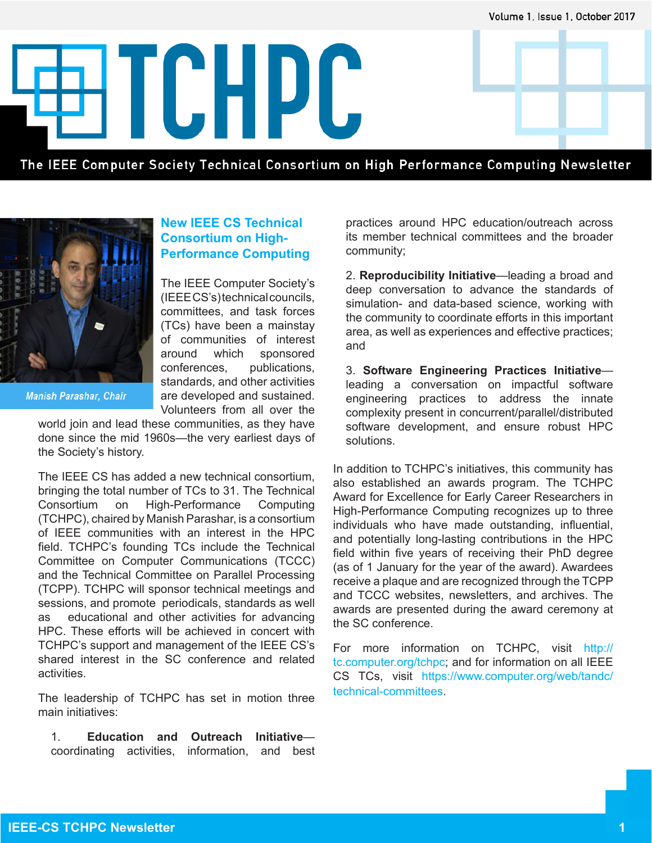Volume 1, Issue 1, October 2017

ETCHPC

The IEEE Computer Society Technical Consortium on High Performance Computing Newsletter



**Manish Parashar, Chair** 

### **New IEEE CS Technical Consortium on High-Performance Computing**

The IEEE Computer Society's (IEEE CS's) technical councils, committees, and task forces (TCs) have been a mainstay of communities of interest around which sponsored conferences, publications, standards, and other activities are developed and sustained. Volunteers from all over the

world join and lead these communities, as they have done since the mid 1960s—the very earliest days of the Society's history.

The IEEE CS has added a new technical consortium, bringing the total number of TCs to 31. The Technical Consortium on High-Performance Computing (TCHPC), chaired by Manish Parashar, is a consortium of IEEE communities with an interest in the HPC field. TCHPC's founding TCs include the Technical Committee on Computer Communications (TCCC) and the Technical Committee on Parallel Processing (TCPP). TCHPC will sponsor technical meetings and sessions, and promote periodicals, standards as well as educational and other activities for advancing HPC. These efforts will be achieved in concert with TCHPC's support and management of the IEEE CS's shared interest in the SC conference and related activities.

The leadership of TCHPC has set in motion three main initiatives:

1. **Education and Outreach Initiative** coordinating activities, information, and best practices around HPC education/outreach across its member technical committees and the broader community;

2. **Reproducibility Initiative**—leading a broad and deep conversation to advance the standards of simulation- and data-based science, working with the community to coordinate efforts in this important area, as well as experiences and effective practices; and

3. **Software Engineering Practices Initiative** leading a conversation on impactful software engineering practices to address the innate complexity present in concurrent/parallel/distributed software development, and ensure robust HPC solutions.

In addition to TCHPC's initiatives, this community has also established an awards program. The TCHPC Award for Excellence for Early Career Researchers in High-Performance Computing recognizes up to three individuals who have made outstanding, influential, and potentially long-lasting contributions in the HPC field within five years of receiving their PhD degree (as of 1 January for the year of the award). Awardees receive a plaque and are recognized through the TCPP and TCCC websites, newsletters, and archives. The awards are presented during the award ceremony at the SC conference.

For more information on TCHPC, visit http:// tc.computer.org/tchpc; and for information on all IEEE CS TCs, visit https://www.computer.org/web/tandc/ technical-committees.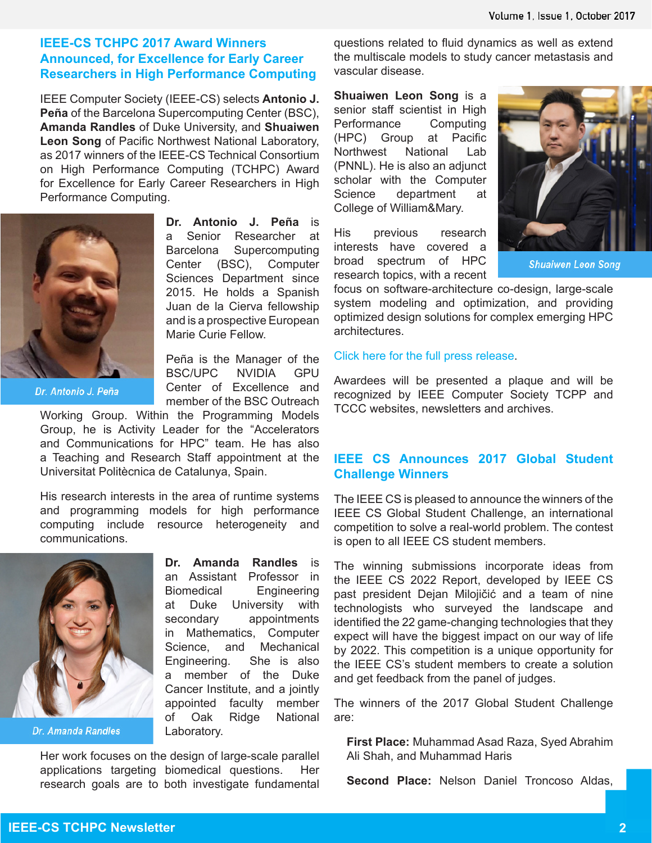### **IEEE-CS TCHPC 2017 Award Winners Announced, for Excellence for Early Career Researchers in High Performance Computing**

IEEE Computer Society (IEEE-CS) selects **Antonio J. Peña** of the Barcelona Supercomputing Center (BSC), **Amanda Randles** of Duke University, and **Shuaiwen Leon Song** of Pacific Northwest National Laboratory, as 2017 winners of the IEEE-CS Technical Consortium on High Performance Computing (TCHPC) Award for Excellence for Early Career Researchers in High Performance Computing.



Dr. Antonio J. Peña

**Dr. Antonio J. Peña** is a Senior Researcher at Barcelona Supercomputing Center (BSC), Computer Sciences Department since 2015. He holds a Spanish Juan de la Cierva fellowship and is a prospective European Marie Curie Fellow.

Peña is the Manager of the BSC/UPC NVIDIA GPU Center of Excellence and member of the BSC Outreach

Working Group. Within the Programming Models Group, he is Activity Leader for the "Accelerators and Communications for HPC" team. He has also a Teaching and Research Staff appointment at the Universitat Politècnica de Catalunya, Spain.

His research interests in the area of runtime systems and programming models for high performance computing include resource heterogeneity and communications.



Dr. Amanda Randles

**Dr. Amanda Randles** is an Assistant Professor in Biomedical Engineering at Duke University with secondary appointments in Mathematics, Computer Science, and Mechanical Engineering. She is also a member of the Duke Cancer Institute, and a jointly appointed faculty member of Oak Ridge National Laboratory.

Her work focuses on the design of large-scale parallel applications targeting biomedical questions. Her research goals are to both investigate fundamental questions related to fluid dynamics as well as extend the multiscale models to study cancer metastasis and vascular disease.

**Shuaiwen Leon Song** is a senior staff scientist in High Performance Computing (HPC) Group at Pacific Northwest National Lab (PNNL). He is also an adjunct scholar with the Computer Science department at College of William&Mary.

His previous research interests have covered a broad spectrum of HPC research topics, with a recent



**Shuaiwen Leon Song** 

focus on software-architecture co-design, large-scale system modeling and optimization, and providing optimized design solutions for complex emerging HPC architectures.

#### Click here for the full press release.

Awardees will be presented a plaque and will be recognized by IEEE Computer Society TCPP and TCCC websites, newsletters and archives.

### **IEEE CS Announces 2017 Global Student Challenge Winners**

The IEEE CS is pleased to announce the winners of the IEEE CS Global Student Challenge, an international competition to solve a real-world problem. The contest is open to all IEEE CS student members.

The winning submissions incorporate ideas from the IEEE CS 2022 Report, developed by IEEE CS past president Dejan Milojičić and a team of nine technologists who surveyed the landscape and identified the 22 game-changing technologies that they expect will have the biggest impact on our way of life by 2022. This competition is a unique opportunity for the IEEE CS's student members to create a solution and get feedback from the panel of judges.

The winners of the 2017 Global Student Challenge are:

**First Place:** Muhammad Asad Raza, Syed Abrahim Ali Shah, and Muhammad Haris

**Second Place:** Nelson Daniel Troncoso Aldas,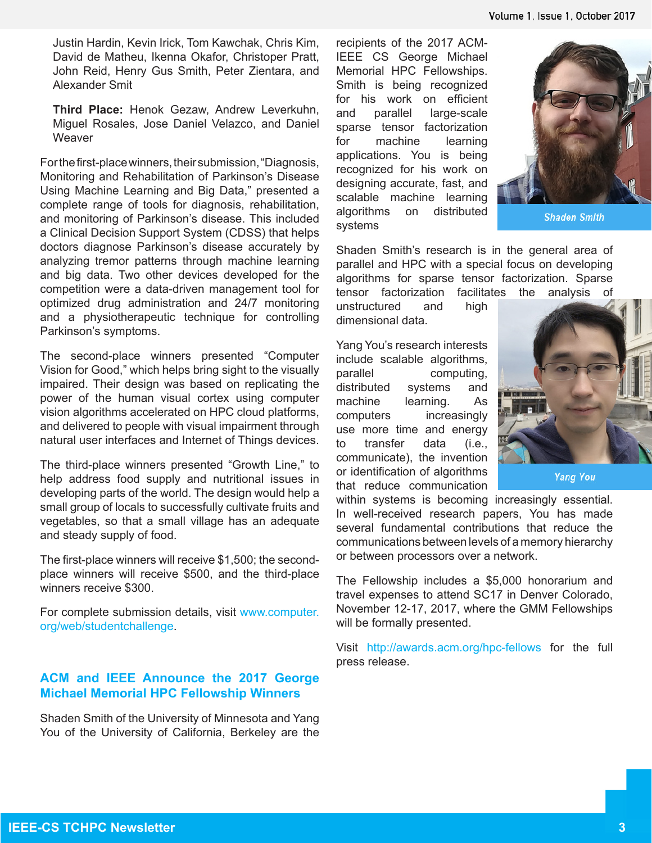Justin Hardin, Kevin Irick, Tom Kawchak, Chris Kim, David de Matheu, Ikenna Okafor, Christoper Pratt, John Reid, Henry Gus Smith, Peter Zientara, and Alexander Smit

**Third Place:** Henok Gezaw, Andrew Leverkuhn, Miguel Rosales, Jose Daniel Velazco, and Daniel **Weaver** 

For the first-place winners, their submission, "Diagnosis, Monitoring and Rehabilitation of Parkinson's Disease Using Machine Learning and Big Data," presented a complete range of tools for diagnosis, rehabilitation, and monitoring of Parkinson's disease. This included a Clinical Decision Support System (CDSS) that helps doctors diagnose Parkinson's disease accurately by analyzing tremor patterns through machine learning and big data. Two other devices developed for the competition were a data-driven management tool for optimized drug administration and 24/7 monitoring and a physiotherapeutic technique for controlling Parkinson's symptoms.

The second-place winners presented "Computer Vision for Good," which helps bring sight to the visually impaired. Their design was based on replicating the power of the human visual cortex using computer vision algorithms accelerated on HPC cloud platforms, and delivered to people with visual impairment through natural user interfaces and Internet of Things devices.

The third-place winners presented "Growth Line," to help address food supply and nutritional issues in developing parts of the world. The design would help a small group of locals to successfully cultivate fruits and vegetables, so that a small village has an adequate and steady supply of food.

The first-place winners will receive \$1,500; the secondplace winners will receive \$500, and the third-place winners receive \$300.

For complete submission details, visit www.computer. org/web/studentchallenge.

## **ACM and IEEE Announce the 2017 George Michael Memorial HPC Fellowship Winners**

Shaden Smith of the University of Minnesota and Yang You of the University of California, Berkeley are the

recipients of the 2017 ACM-IEEE CS George Michael Memorial HPC Fellowships. Smith is being recognized for his work on efficient and parallel large-scale sparse tensor factorization for machine learning applications. You is being recognized for his work on designing accurate, fast, and scalable machine learning algorithms on distributed systems



**Shaden Smith** 

Shaden Smith's research is in the general area of parallel and HPC with a special focus on developing algorithms for sparse tensor factorization. Sparse tensor factorization facilitates the analysis of

unstructured and high dimensional data.

Yang You's research interests include scalable algorithms, parallel computing, distributed systems and machine learning. As computers increasingly use more time and energy to transfer data (i.e., communicate), the invention or identification of algorithms that reduce communication



**Yang You** 

within systems is becoming increasingly essential. In well-received research papers, You has made several fundamental contributions that reduce the communications between levels of a memory hierarchy or between processors over a network.

The Fellowship includes a \$5,000 honorarium and travel expenses to attend SC17 in Denver Colorado, November 12-17, 2017, where the GMM Fellowships will be formally presented.

Visit http://awards.acm.org/hpc-fellows for the full press release.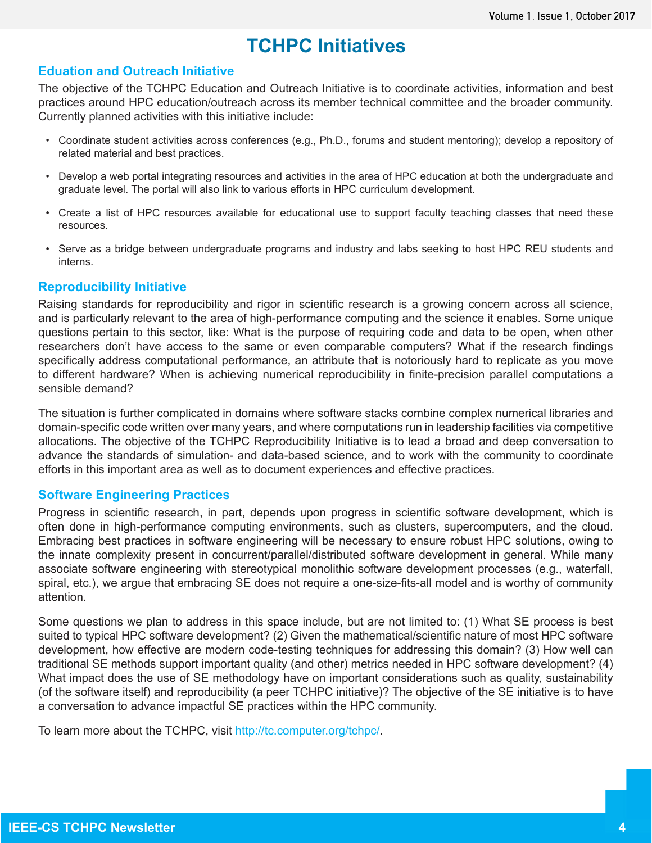# **TCHPC Initiatives**

### **Eduation and Outreach Initiative**

The objective of the TCHPC Education and Outreach Initiative is to coordinate activities, information and best practices around HPC education/outreach across its member technical committee and the broader community. Currently planned activities with this initiative include:

- Coordinate student activities across conferences (e.g., Ph.D., forums and student mentoring); develop a repository of related material and best practices.
- Develop a web portal integrating resources and activities in the area of HPC education at both the undergraduate and graduate level. The portal will also link to various efforts in HPC curriculum development.
- Create a list of HPC resources available for educational use to support faculty teaching classes that need these resources.
- Serve as a bridge between undergraduate programs and industry and labs seeking to host HPC REU students and interns.

### **Reproducibility Initiative**

Raising standards for reproducibility and rigor in scientific research is a growing concern across all science, and is particularly relevant to the area of high-performance computing and the science it enables. Some unique questions pertain to this sector, like: What is the purpose of requiring code and data to be open, when other researchers don't have access to the same or even comparable computers? What if the research findings specifically address computational performance, an attribute that is notoriously hard to replicate as you move to different hardware? When is achieving numerical reproducibility in finite-precision parallel computations a sensible demand?

The situation is further complicated in domains where software stacks combine complex numerical libraries and domain-specific code written over many years, and where computations run in leadership facilities via competitive allocations. The objective of the TCHPC Reproducibility Initiative is to lead a broad and deep conversation to advance the standards of simulation- and data-based science, and to work with the community to coordinate efforts in this important area as well as to document experiences and effective practices.

### **Software Engineering Practices**

Progress in scientific research, in part, depends upon progress in scientific software development, which is often done in high-performance computing environments, such as clusters, supercomputers, and the cloud. Embracing best practices in software engineering will be necessary to ensure robust HPC solutions, owing to the innate complexity present in concurrent/parallel/distributed software development in general. While many associate software engineering with stereotypical monolithic software development processes (e.g., waterfall, spiral, etc.), we argue that embracing SE does not require a one-size-fits-all model and is worthy of community attention.

Some questions we plan to address in this space include, but are not limited to: (1) What SE process is best suited to typical HPC software development? (2) Given the mathematical/scientific nature of most HPC software development, how effective are modern code-testing techniques for addressing this domain? (3) How well can traditional SE methods support important quality (and other) metrics needed in HPC software development? (4) What impact does the use of SE methodology have on important considerations such as quality, sustainability (of the software itself) and reproducibility (a peer TCHPC initiative)? The objective of the SE initiative is to have a conversation to advance impactful SE practices within the HPC community.

To learn more about the TCHPC, visit http://tc.computer.org/tchpc/.